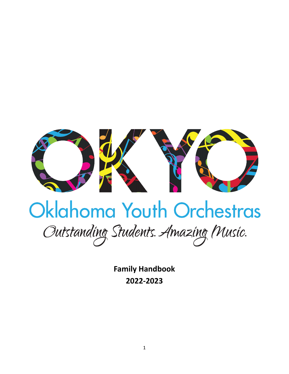

# Oklahoma Youth Orchestras

Outstanding Students. Amazing Music.

**Family Handbook 2022-2023**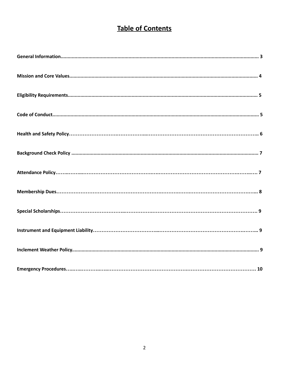# **Table of Contents**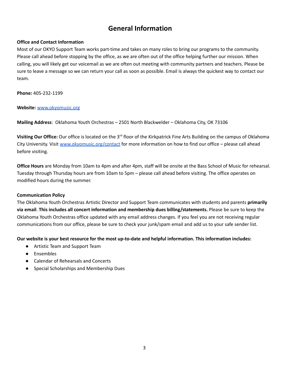# **General Information**

## **Office and Contact Information**

Most of our OKYO Support Team works part-time and takes on many roles to bring our programs to the community. Please call ahead before stopping by the office, as we are often out of the office helping further our mission. When calling, you will likely get our voicemail as we are often out meeting with community partners and teachers. Please be sure to leave a message so we can return your call as soon as possible. Email is always the quickest way to contact our team.

**Phone:** 405-232-1199

### **Website:** [www.okyomusic.org](http://www.okyomusic.org)

**Mailing Address**: Oklahoma Youth Orchestras – 2501 North Blackwelder – Oklahoma City, OK 73106

**Visiting Our Office:** Our office is located on the 3<sup>rd</sup> floor of the Kirkpatrick Fine Arts Building on the campus of Oklahoma City University. Visit [www.okyomusic.org/contact](http://www.okyomusic.org/contact) for more information on how to find our office – please call ahead before visiting.

**Office Hours** are Monday from 10am to 4pm and after 4pm, staff will be onsite at the Bass School of Music for rehearsal. Tuesday through Thursday hours are from 10am to 5pm – please call ahead before visiting. The office operates on modified hours during the summer.

### **Communication Policy**

The Oklahoma Youth Orchestras Artistic Director and Support Team communicates with students and parents **primarily via email**. **This includes all concert information and membership dues billing/statements.** Please be sure to keep the Oklahoma Youth Orchestras office updated with any email address changes. If you feel you are not receiving regular communications from our office, please be sure to check your junk/spam email and add us to your safe sender list.

### **Our website is your best resource for the most up-to-date and helpful information. This information includes:**

- Artistic Team and Support Team
- Ensembles
- Calendar of Rehearsals and Concerts
- Special Scholarships and Membership Dues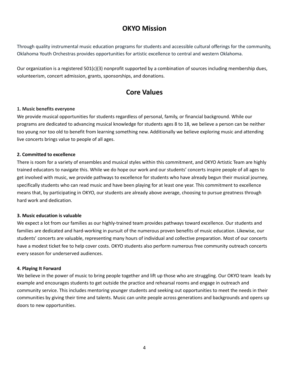# **OKYO Mission**

Through quality instrumental music education programs for students and accessible cultural offerings for the community, Oklahoma Youth Orchestras provides opportunities for artistic excellence to central and western Oklahoma.

Our organization is a registered 501(c)(3) nonprofit supported by a combination of sources including membership dues, volunteerism, concert admission, grants, sponsorships, and donations.

# **Core Values**

## **1. Music benefits everyone**

We provide musical opportunities for students regardless of personal, family, or financial background. While our programs are dedicated to advancing musical knowledge for students ages 8 to 18, we believe a person can be neither too young nor too old to benefit from learning something new. Additionally we believe exploring music and attending live concerts brings value to people of all ages.

## **2. Committed to excellence**

There is room for a variety of ensembles and musical styles within this commitment, and OKYO Artistic Team are highly trained educators to navigate this. While we do hope our work and our students' concerts inspire people of all ages to get involved with music, we provide pathways to excellence for students who have already begun their musical journey, specifically students who can read music and have been playing for at least one year. This commitment to excellence means that, by participating in OKYO, our students are already above average, choosing to pursue greatness through hard work and dedication.

### **3. Music education is valuable**

We expect a lot from our families as our highly-trained team provides pathways toward excellence. Our students and families are dedicated and hard-working in pursuit of the numerous proven benefits of music education. Likewise, our students' concerts are valuable, representing many hours of individual and collective preparation. Most of our concerts have a modest ticket fee to help cover costs. OKYO students also perform numerous free community outreach concerts every season for underserved audiences.

### **4. Playing It Forward**

We believe in the power of music to bring people together and lift up those who are struggling. Our OKYO team leads by example and encourages students to get outside the practice and rehearsal rooms and engage in outreach and community service. This includes mentoring younger students and seeking out opportunities to meet the needs in their communities by giving their time and talents. Music can unite people across generations and backgrounds and opens up doors to new opportunities.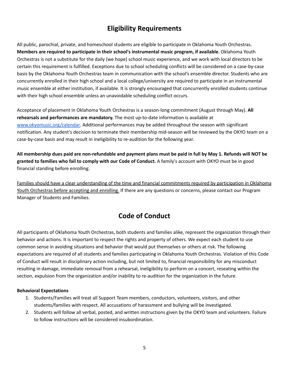# **Eligibility Requirements**

All public, parochial, private, and homeschool students are eligible to participate in Oklahoma Youth Orchestras. **Members are required to participate in their school's instrumental music program, if available**. Oklahoma Youth Orchestras is not a substitute for the daily (we hope) school music experience, and we work with local directors to be certain this requirement is fulfilled. Exceptions due to school scheduling conflicts will be considered on a case-by-case basis by the Oklahoma Youth Orchestras team in communication with the school's ensemble director. Students who are concurrently enrolled in their high school and a local college/university are required to participate in an instrumental music ensemble at either institution, if available. It is strongly encouraged that concurrently enrolled students continue with their high school ensemble unless an unavoidable scheduling conflict occurs.

Acceptance of placement in Oklahoma Youth Orchestras is a season-long commitment (August through May). **All rehearsals and performances are mandatory.** The most up-to-date information is available at [www.okyomusic.org/calendar.](http://www.okyomusic.org/calendar) Additional performances may be added throughout the season with significant notification. Any student's decision to terminate their membership mid-season will be reviewed by the OKYO team on a case-by-case basis and may result in ineligibility to re-audition for the following year.

All membership dues paid are non-refundable and payment plans must be paid in full by May 1. Refunds will NOT be **granted to families who fail to comply with our Code of Conduct.** A family's account with OKYO must be in good financial standing before enrolling.

Families should have a clear understanding of the time and financial commitments required by participation in Oklahoma Youth Orchestras before accepting and enrolling. If there are any questions or concerns, please contact our Program Manager of Students and Families.

# **Code of Conduct**

All participants of Oklahoma Youth Orchestras, both students and families alike, represent the organization through their behavior and actions. It is important to respect the rights and property of others. We expect each student to use common sense in avoiding situations and behavior that would put themselves or others at risk. The following expectations are required of all students and families participating in Oklahoma Youth Orchestras. Violation of this Code of Conduct will result in disciplinary action including, but not limited to, financial responsibility for any misconduct resulting in damage, immediate removal from a rehearsal, ineligibility to perform on a concert, reseating within the section, expulsion from the organization and/or inability to re-audition for the organization in the future.

## **Behavioral Expectations**

- 1. Students/Families will treat all Support Team members, conductors, volunteers, visitors, and other students/families with respect. All accusations of harassment and bullying will be investigated.
- 2. Students will follow all verbal, posted, and written instructions given by the OKYO team and volunteers. Failure to follow instructions will be considered insubordination.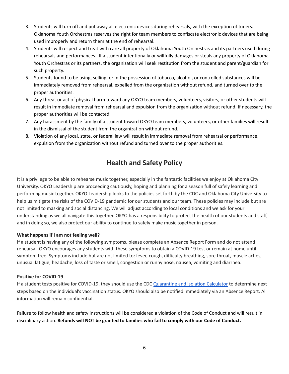- 3. Students will turn off and put away all electronic devices during rehearsals, with the exception of tuners. Oklahoma Youth Orchestras reserves the right for team members to confiscate electronic devices that are being used improperly and return them at the end of rehearsal.
- 4. Students will respect and treat with care all property of Oklahoma Youth Orchestras and its partners used during rehearsals and performances. If a student intentionally or willfully damages or steals any property of Oklahoma Youth Orchestras or its partners, the organization will seek restitution from the student and parent/guardian for such property.
- 5. Students found to be using, selling, or in the possession of tobacco, alcohol, or controlled substances will be immediately removed from rehearsal, expelled from the organization without refund, and turned over to the proper authorities.
- 6. Any threat or act of physical harm toward any OKYO team members, volunteers, visitors, or other students will result in immediate removal from rehearsal and expulsion from the organization without refund. If necessary, the proper authorities will be contacted.
- 7. Any harassment by the family of a student toward OKYO team members, volunteers, or other families will result in the dismissal of the student from the organization without refund.
- 8. Violation of any local, state, or federal law will result in immediate removal from rehearsal or performance, expulsion from the organization without refund and turned over to the proper authorities.

# **Health and Safety Policy**

It is a privilege to be able to rehearse music together, especially in the fantastic facilities we enjoy at Oklahoma City University. OKYO Leadership are proceeding cautiously, hoping and planning for a season full of safely learning and performing music together. OKYO Leadership looks to the policies set forth by the CDC and Oklahoma City University to help us mitigate the risks of the COVID-19 pandemic for our students and our team. These policies may include but are not limited to masking and social distancing. We will adjust according to local conditions and we ask for your understanding as we all navigate this together. OKYO has a responsibility to protect the health of our students and staff, and in doing so, we also protect our ability to continue to safely make music together in person.

## **What happens if I am not feeling well?**

If a student is having any of the following symptoms, please complete an Absence Report Form and do not attend rehearsal. OKYO encourages any students with these symptoms to obtain a COVID-19 test or remain at home until symptom free. Symptoms include but are not limited to: fever, cough, difficulty breathing, sore throat, muscle aches, unusual fatigue, headache, loss of taste or smell, congestion or runny nose, nausea, vomiting and diarrhea.

## **Positive for COVID-19**

If a student tests positive for COVID-19, they should use the CDC [Quarantine](https://www.cdc.gov/coronavirus/2019-ncov/your-health/quarantine-isolation.html) and Isolation Calculator to determine next steps based on the individual's vaccination status. OKYO should also be notified immediately via an Absence Report. All information will remain confidential.

Failure to follow health and safety instructions will be considered a violation of the Code of Conduct and will result in disciplinary action. **Refunds will NOT be granted to families who fail to comply with our Code of Conduct.**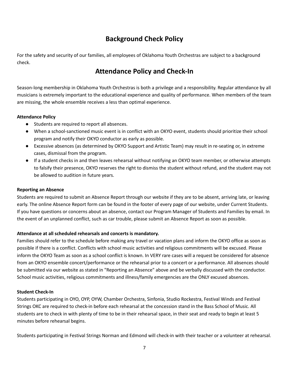# **Background Check Policy**

For the safety and security of our families, all employees of Oklahoma Youth Orchestras are subject to a background check.

# **Attendance Policy and Check-In**

Season-long membership in Oklahoma Youth Orchestras is both a privilege and a responsibility. Regular attendance by all musicians is extremely important to the educational experience and quality of performance. When members of the team are missing, the whole ensemble receives a less than optimal experience.

## **Attendance Policy**

- Students are required to report all absences.
- When a school-sanctioned music event is in conflict with an OKYO event, students should prioritize their school program and notify their OKYO conductor as early as possible.
- Excessive absences (as determined by OKYO Support and Artistic Team) may result in re-seating or, in extreme cases, dismissal from the program.
- If a student checks in and then leaves rehearsal without notifying an OKYO team member, or otherwise attempts to falsify their presence, OKYO reserves the right to dismiss the student without refund, and the student may not be allowed to audition in future years.

## **Reporting an Absence**

Students are required to submit an Absence Report through our website if they are to be absent, arriving late, or leaving early. The online Absence Report form can be found in the footer of every page of our website, under Current Students. If you have questions or concerns about an absence, contact our Program Manager of Students and Families by email. In the event of an unplanned conflict, such as car trouble, please submit an Absence Report as soon as possible.

## **Attendance at all scheduled rehearsals and concerts is mandatory.**

Families should refer to the schedule before making any travel or vacation plans and inform the OKYO office as soon as possible if there is a conflict. Conflicts with school music activities and religious commitments will be excused. Please inform the OKYO Team as soon as a school conflict is known. In VERY rare cases will a request be considered for absence from an OKYO ensemble concert/performance or the rehearsal prior to a concert or a performance. All absences should be submitted via our website as stated in "Reporting an Absence" above and be verbally discussed with the conductor. School music activities, religious commitments and illness/family emergencies are the ONLY excused absences.

### **Student Check-In**

Students participating in OYO, OYP, OYW, Chamber Orchestra, Sinfonia, Studio Rockestra, Festival Winds and Festival Strings OKC are required to check-in before each rehearsal at the concession stand in the Bass School of Music. All students are to check in with plenty of time to be in their rehearsal space, in their seat and ready to begin at least 5 minutes before rehearsal begins.

Students participating in Festival Strings Norman and Edmond will check-in with their teacher or a volunteer at rehearsal.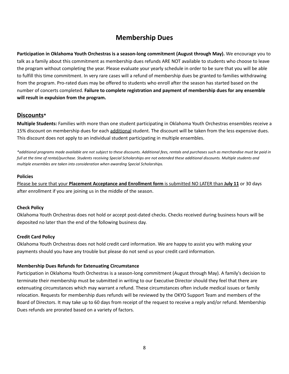# **Membership Dues**

**Participation in Oklahoma Youth Orchestras is a season-long commitment (August through May).** We encourage you to talk as a family about this commitment as membership dues refunds ARE NOT available to students who choose to leave the program without completing the year. Please evaluate your yearly schedule in order to be sure that you will be able to fulfill this time commitment. In very rare cases will a refund of membership dues be granted to families withdrawing from the program. Pro-rated dues may be offered to students who enroll after the season has started based on the number of concerts completed. **Failure to complete registration and payment of membership dues for any ensemble will result in expulsion from the program.**

## **Discounts\***

**Multiple Students:** Families with more than one student participating in Oklahoma Youth Orchestras ensembles receive a 15% discount on membership dues for each additional student. The discount will be taken from the less expensive dues. This discount does not apply to an individual student participating in multiple ensembles.

*\*additional programs made available are not subject to these discounts. Additional fees, rentals and purchases such as merchandise must be paid in full at the time of rental/purchase. Students receiving Special Scholarships are not extended these additional discounts. Multiple students and multiple ensembles are taken into consideration when awarding Special Scholarships.*

## **Policies**

Please be sure that your **Placement Acceptance and Enrollment form** is submitted NO LATER than **July 11** or 30 days after enrollment if you are joining us in the middle of the season.

## **Check Policy**

Oklahoma Youth Orchestras does not hold or accept post-dated checks. Checks received during business hours will be deposited no later than the end of the following business day.

## **Credit Card Policy**

Oklahoma Youth Orchestras does not hold credit card information. We are happy to assist you with making your payments should you have any trouble but please do not send us your credit card information.

### **Membership Dues Refunds for Extenuating Circumstance**

Participation in Oklahoma Youth Orchestras is a season-long commitment (August through May). A family's decision to terminate their membership must be submitted in writing to our Executive Director should they feel that there are extenuating circumstances which may warrant a refund. These circumstances often include medical issues or family relocation. Requests for membership dues refunds will be reviewed by the OKYO Support Team and members of the Board of Directors. It may take up to 60 days from receipt of the request to receive a reply and/or refund. Membership Dues refunds are prorated based on a variety of factors.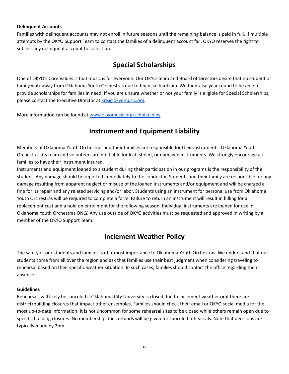### **Delinquent Accounts**

Families with delinquent accounts may not enroll in future seasons until the remaining balance is paid in full. If multiple attempts by the OKYO Support Team to contact the families of a delinquent account fail, OKYO reserves the right to subject any delinquent account to collection.

# **Special Scholarships**

One of OKYO's Core Values is that music is for everyone. Our OKYO Team and Board of Directors desire that no student or family walk away from Oklahoma Youth Orchestras due to financial hardship. We fundraise year-round to be able to provide scholarships for families in need. If you are unsure whether or not your family is eligible for Special Scholarships, please contact the Executive Director at [kris@okyomusic.org.](mailto:kris@okyomusic.org)

More information can be found at [www.okyomusic.org/scholarships.](http://www.okyomusic.org/scholarships)

# **Instrument and Equipment Liability**

Members of Oklahoma Youth Orchestras and their families are responsible for their instruments. Oklahoma Youth Orchestras, its team and volunteers are not liable for lost, stolen, or damaged instruments. We strongly encourage all families to have their instrument insured.

Instruments and equipment loaned to a student during their participation in our programs is the responsibility of the student. Any damage should be reported immediately to the conductor. Students and their family are responsible for any damage resulting from apparent neglect or misuse of the loaned instruments and/or equipment and will be charged a fine for its repair and any related servicing and/or labor. Students using an instrument for personal use from Oklahoma Youth Orchestras will be required to complete a form. Failure to return an instrument will result in billing for a replacement cost and a hold on enrollment for the following season. Individual instruments are loaned for use in Oklahoma Youth Orchestras ONLY. Any use outside of OKYO activities must be requested and approved in writing by a member of the OKYO Support Team.

# **Inclement Weather Policy**

The safety of our students and families is of utmost importance to Oklahoma Youth Orchestras. We understand that our students come from all over the region and ask that families use their best judgment when considering traveling to rehearsal based on their specific weather situation. In such cases, families should contact the office regarding their absence.

### **Guidelines**

Rehearsals will likely be canceled if Oklahoma City University is closed due to inclement weather or if there are district/building closures that impact other ensembles. Families should check their email or OKYO social media for the most up-to-date information. It is not uncommon for some rehearsal sites to be closed while others remain open due to specific building closures. No membership dues refunds will be given for canceled rehearsals. Note that decisions are typically made by 2pm.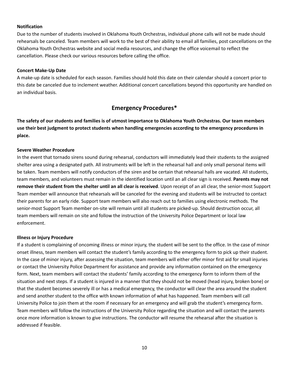#### **Notification**

Due to the number of students involved in Oklahoma Youth Orchestras, individual phone calls will not be made should rehearsals be canceled. Team members will work to the best of their ability to email all families, post cancellations on the Oklahoma Youth Orchestras website and social media resources, and change the office voicemail to reflect the cancellation. Please check our various resources before calling the office.

#### **Concert Make-Up Date**

A make-up date is scheduled for each season. Families should hold this date on their calendar should a concert prior to this date be canceled due to inclement weather. Additional concert cancellations beyond this opportunity are handled on an individual basis.

# **Emergency Procedures\***

The safety of our students and families is of utmost importance to Oklahoma Youth Orchestras. Our team members **use their best judgment to protect students when handling emergencies according to the emergency procedures in place.**

### **Severe Weather Procedure**

In the event that tornado sirens sound during rehearsal, conductors will immediately lead their students to the assigned shelter area using a designated path. All instruments will be left in the rehearsal hall and only small personal items will be taken. Team members will notify conductors of the siren and be certain that rehearsal halls are vacated. All students, team members, and volunteers must remain in the identified location until an all clear sign is received. **Parents may not remove their student from the shelter until an all clear is received**. Upon receipt of an all clear, the senior-most Support Team member will announce that rehearsals will be canceled for the evening and students will be instructed to contact their parents for an early ride. Support team members will also reach out to families using electronic methods. The senior-most Support Team member on-site will remain until all students are picked-up. Should destruction occur, all team members will remain on site and follow the instruction of the University Police Department or local law enforcement.

#### **Illness or Injury Procedure**

If a student is complaining of oncoming illness or minor injury, the student will be sent to the office. In the case of minor onset illness, team members will contact the student's family according to the emergency form to pick up their student. In the case of minor injury, after assessing the situation, team members will either offer minor first aid for small injuries or contact the University Police Department for assistance and provide any information contained on the emergency form. Next, team members will contact the students' family according to the emergency form to inform them of the situation and next steps. If a student is injured in a manner that they should not be moved (head injury, broken bone) or that the student becomes severely ill or has a medical emergency, the conductor will clear the area around the student and send another student to the office with known information of what has happened. Team members will call University Police to join them at the room if necessary for an emergency and will grab the student's emergency form. Team members will follow the instructions of the University Police regarding the situation and will contact the parents once more information is known to give instructions. The conductor will resume the rehearsal after the situation is addressed if feasible.